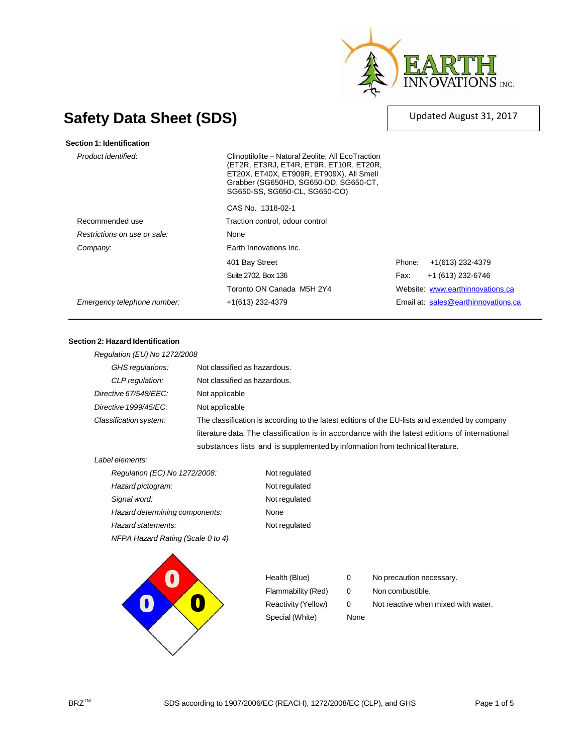

# **Safety Data Sheet (SDS)**

# Updated August 31, 2017

*Product identified*: Clinoptilolite – Natural Zeolite, All EcoTraction (ET2R, ET3RJ, ET4R, ET9R, ET10R, ET20R, ET20X, ET40X, ET909R, ET909X), All Smell Grabber (SG650HD, SG650-DD, SG650-CT, SG650-SS, SG650-CL, SG650-CO) CAS No. 1318-02-1 Recommended use Traction control, odour control *Restrictions on use or sale:* None **Company: Earth Innovations Inc.** 401 Bay Street **Phone:** +1(613) 232-4379 Suite 2702, Box 136 Fax: +1 (613) 232-6746 Toronto ON Canada M5H 2Y4 Website: www.earthinnovations.ca

*Emergency telephone number:* +1(613) 232-4379 Email at: [sales@earthinnovations.ca](http://www.tfl3543@blackfoot.net/)

#### **Section 2: Hazard Identification**

| Regulation (EU) No 1272/2008                     |                                                                                                |
|--------------------------------------------------|------------------------------------------------------------------------------------------------|
| GHS regulations:<br>Not classified as hazardous. |                                                                                                |
| CLP regulation:                                  | Not classified as hazardous.                                                                   |
| Directive 67/548/EEC:                            | Not applicable                                                                                 |
| Directive 1999/45/EC:                            | Not applicable                                                                                 |
| Classification system:                           | The classification is according to the latest editions of the EU-lists and extended by company |
|                                                  | literature data. The classification is in accordance with the latest editions of international |
|                                                  | substances lists and is supplemented by information from technical literature.                 |

**Not regulated** *Hazard pictogram:* Not regulated **Not regulated** *Hazard determining components:* None **Not regulated** 

#### *Label elements:*

| Regulation (EC) No 1272/2008:     |
|-----------------------------------|
| Hazard pictogram:                 |
| Signal word:                      |
| Hazard determining components:    |
| Hazard statements:                |
| NFPA Hazard Rating (Scale 0 to 4) |



Special (White) None

- Health (Blue) 0 No precaution necessary. Flammability (Red) 0 Non combustible.
	-
	-
- Reactivity (Yellow) 0 Not reactive when mixed with water.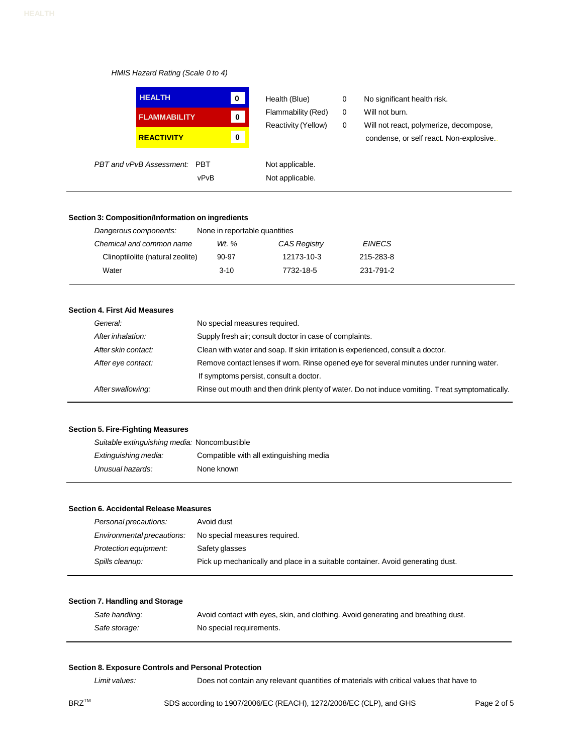## *HMIS Hazard Rating (Scale 0 to 4)*

| <b>HEALTH</b>       |  |
|---------------------|--|
| <b>FLAMMABILITY</b> |  |
| <b>REACTIVITY</b>   |  |

Health (Blue) 0 No significant health risk. Flammability (Red) 0 Will not burn.

Reactivity (Yellow) 0 Will not react, polymerize, decompose, condense, or self react. Non-explosive..

**PBT** and *vPvB* Assessment: PBT Not applicable.

vPvB Not applicable.

# **Section 3: Composition/Information on ingredients**

| Dangerous components:            | None in reportable quantities |                     |               |
|----------------------------------|-------------------------------|---------------------|---------------|
| Chemical and common name         | Wt. %                         | <b>CAS Registry</b> | <b>EINECS</b> |
| Clinoptilolite (natural zeolite) | 90-97                         | 12173-10-3          | 215-283-8     |
| Water                            | $3 - 10$                      | 7732-18-5           | 231-791-2     |

## **Section 4. First Aid Measures**

| General:            | No special measures required.                                                                  |
|---------------------|------------------------------------------------------------------------------------------------|
|                     |                                                                                                |
| After inhalation:   | Supply fresh air; consult doctor in case of complaints.                                        |
| After skin contact: | Clean with water and soap. If skin irritation is experienced, consult a doctor.                |
| After eye contact:  | Remove contact lenses if worn. Rinse opened eye for several minutes under running water.       |
|                     | If symptoms persist, consult a doctor.                                                         |
| After swallowing:   | Rinse out mouth and then drink plenty of water. Do not induce vomiting. Treat symptomatically. |
|                     |                                                                                                |

#### **Section 5. Fire-Fighting Measures**

| Suitable extinguishing media: Noncombustible |                                         |  |
|----------------------------------------------|-----------------------------------------|--|
| Extinguishing media:                         | Compatible with all extinguishing media |  |
| Unusual hazards:                             | None known                              |  |

## **Section 6. Accidental Release Measures**

| Personal precautions:      | Avoid dust                                                                     |
|----------------------------|--------------------------------------------------------------------------------|
| Environmental precautions: | No special measures required.                                                  |
| Protection equipment:      | Safety glasses                                                                 |
| Spills cleanup:            | Pick up mechanically and place in a suitable container. Avoid generating dust. |

## **Section 7. Handling and Storage**

| Safe handling: | Avoid contact with eyes, skin, and clothing. Avoid generating and breathing dust. |
|----------------|-----------------------------------------------------------------------------------|
| Safe storage:  | No special requirements.                                                          |

#### **Section 8. Exposure Controls and Personal Protection**

*Limit values:* Does not contain any relevant quantities of materials with critical values that have to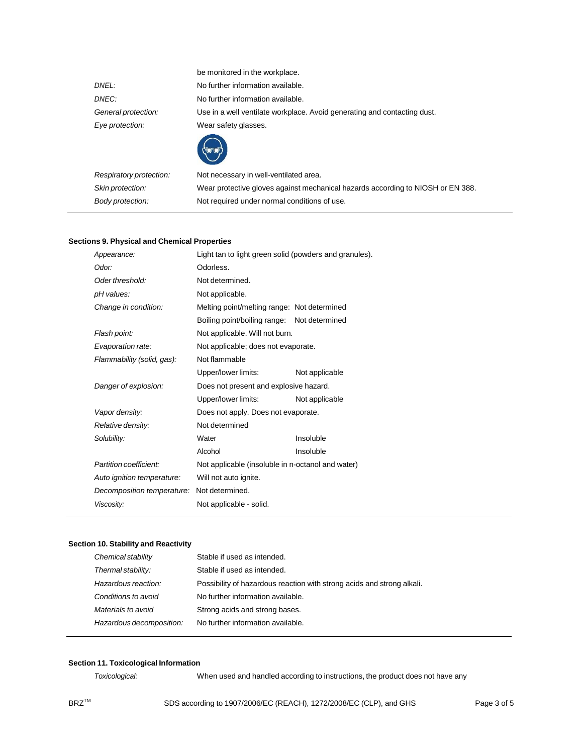|                         | be monitored in the workplace.                                                  |
|-------------------------|---------------------------------------------------------------------------------|
| DNEL:                   | No further information available.                                               |
| DNEC:                   | No further information available.                                               |
| General protection:     | Use in a well ventilate workplace. Avoid generating and contacting dust.        |
| Eye protection:         | Wear safety glasses.                                                            |
|                         |                                                                                 |
| Respiratory protection: | Not necessary in well-ventilated area.                                          |
| Skin protection:        | Wear protective gloves against mechanical hazards according to NIOSH or EN 388. |

#### **Sections 9. Physical and Chemical Properties**

| Appearance:                | Light tan to light green solid (powders and granules). |                |
|----------------------------|--------------------------------------------------------|----------------|
| Odor:                      | Odorless.                                              |                |
| Oder threshold:            | Not determined.                                        |                |
| pH values:                 | Not applicable.                                        |                |
| Change in condition:       | Melting point/melting range: Not determined            |                |
|                            | Boiling point/boiling range: Not determined            |                |
| Flash point:               | Not applicable. Will not burn.                         |                |
| Evaporation rate:          | Not applicable; does not evaporate.                    |                |
| Flammability (solid, gas): | Not flammable                                          |                |
|                            | Upper/lower limits:                                    | Not applicable |
| Danger of explosion:       | Does not present and explosive hazard.                 |                |
|                            | Upper/lower limits:                                    | Not applicable |
| Vapor density:             | Does not apply. Does not evaporate.                    |                |
| Relative density:          | Not determined                                         |                |
| Solubility:                | Water                                                  | Insoluble      |
|                            | Alcohol                                                | Insoluble      |
| Partition coefficient:     | Not applicable (insoluble in n-octanol and water)      |                |
| Auto ignition temperature: | Will not auto ignite.                                  |                |
| Decomposition temperature: | Not determined.                                        |                |
| Viscosity:                 | Not applicable - solid.                                |                |
|                            |                                                        |                |

*Body protection:* Not required under normal conditions of use.

## **Section 10. Stability and Reactivity**

| Chemical stability       | Stable if used as intended.                                            |
|--------------------------|------------------------------------------------------------------------|
| Thermal stability:       | Stable if used as intended.                                            |
| Hazardous reaction:      | Possibility of hazardous reaction with strong acids and strong alkali. |
| Conditions to avoid      | No further information available.                                      |
| Materials to avoid       | Strong acids and strong bases.                                         |
| Hazardous decomposition: | No further information available.                                      |

## **Section 11. Toxicological Information**

*Toxicological:* When used and handled according to instructions, the product does not have any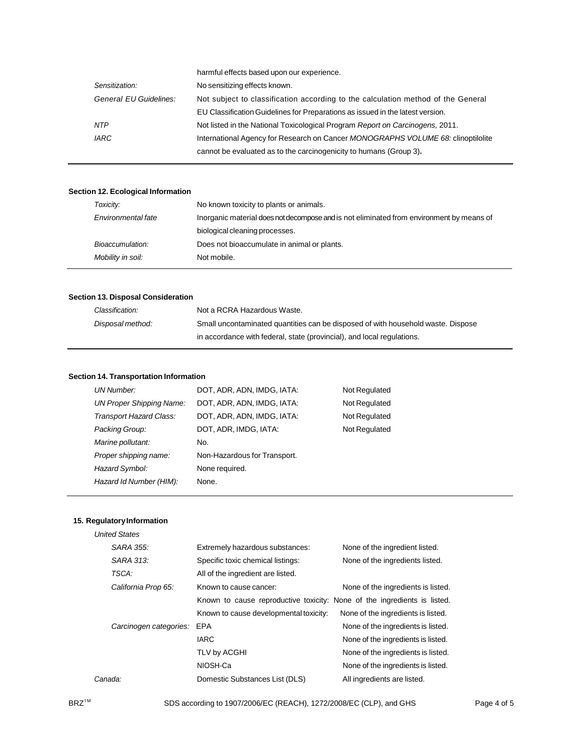|                        | harmful effects based upon our experience.                                       |
|------------------------|----------------------------------------------------------------------------------|
| Sensitization:         | No sensitizing effects known.                                                    |
| General EU Guidelines: | Not subject to classification according to the calculation method of the General |
|                        | EU Classification Guidelines for Preparations as issued in the latest version.   |
| <b>NTP</b>             | Not listed in the National Toxicological Program Report on Carcinogens, 2011.    |
| <b>IARC</b>            | International Agency for Research on Cancer MONOGRAPHS VOLUME 68: clinoptilolite |
|                        | cannot be evaluated as to the carcinogenicity to humans (Group 3).               |
|                        |                                                                                  |

## **Section 12. Ecological Information**

| Toxicity:          | No known toxicity to plants or animals.                                                  |
|--------------------|------------------------------------------------------------------------------------------|
| Environmental fate | Inorganic material does not decompose and is not eliminated from environment by means of |
|                    | biological cleaning processes.                                                           |
| Bioaccumulation:   | Does not bioaccumulate in animal or plants.                                              |
| Mobility in soil:  | Not mobile.                                                                              |
|                    |                                                                                          |

## **Section 13. Disposal Consideration**

| Classification:  | Not a RCRA Hazardous Waste.                                                      |
|------------------|----------------------------------------------------------------------------------|
| Disposal method: | Small uncontaminated quantities can be disposed of with household waste. Dispose |
|                  | in accordance with federal, state (provincial), and local regulations.           |

# **Section 14. Transportation Information**

| UN Number:                      | DOT, ADR, ADN, IMDG, IATA:   | Not Regulated |
|---------------------------------|------------------------------|---------------|
| <b>UN Proper Shipping Name:</b> | DOT, ADR, ADN, IMDG, IATA:   | Not Regulated |
| Transport Hazard Class:         | DOT, ADR, ADN, IMDG, IATA:   | Not Regulated |
| Packing Group:                  | DOT, ADR, IMDG, IATA:        | Not Regulated |
| Marine pollutant:               | No.                          |               |
| Proper shipping name:           | Non-Hazardous for Transport. |               |
| Hazard Symbol:                  | None required.               |               |
| Hazard Id Number (HIM):         | None.                        |               |

## **15. RegulatoryInformation**

| <b>United States</b>   |                                                                          |                                    |
|------------------------|--------------------------------------------------------------------------|------------------------------------|
| SARA 355.              | Extremely hazardous substances:                                          | None of the ingredient listed.     |
| SARA 313:              | Specific toxic chemical listings:                                        | None of the ingredients listed.    |
| TSCA:                  | All of the ingredient are listed.                                        |                                    |
| California Prop 65:    | Known to cause cancer:                                                   | None of the ingredients is listed. |
|                        | Known to cause reproductive toxicity: None of the ingredients is listed. |                                    |
|                        | Known to cause developmental toxicity:                                   | None of the ingredients is listed. |
| Carcinogen categories: | EPA                                                                      | None of the ingredients is listed. |
|                        | <b>IARC</b>                                                              | None of the ingredients is listed. |
|                        | TLV by ACGHI                                                             | None of the ingredients is listed. |
|                        | NIOSH-Ca                                                                 | None of the ingredients is listed. |
| Canada:                | Domestic Substances List (DLS)                                           | All ingredients are listed.        |